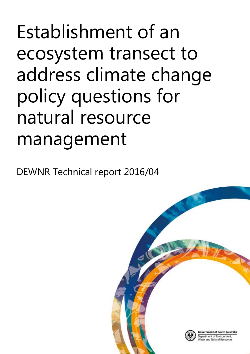# Establishment of an ecosystem transect to address climate change policy questions for natural resource management

DEWNR Technical report 2016/04

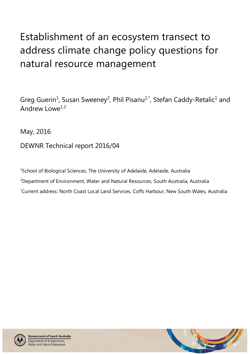# Establishment of an ecosystem transect to address climate change policy questions for natural resource management

Greg Guerin<sup>1</sup>, Susan Sweeney<sup>2</sup>, Phil Pisanu<sup>2,\*</sup>, Stefan Caddy-Retalic<sup>1</sup> and Andrew Lowe<sup>1,2</sup>

May, 2016

DEWNR Technical report 2016/04

<sup>1</sup>School of Biological Sciences, The University of Adelaide, Adelaide, Australia <sup>2</sup>Department of Environment, Water and Natural Resources, South Australia, Australia \*Current address: North Coast Local Land Services, Coffs Harbour, New South Wales, Australia



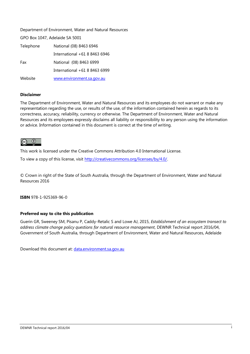Department of Environment, Water and Natural Resources

GPO Box 1047, Adelaide SA 5001

| Telephone | National (08) 8463 6946       |  |
|-----------|-------------------------------|--|
|           | International +61 8 8463 6946 |  |
| Fax       | National (08) 8463 6999       |  |
|           | International +61 8 8463 6999 |  |
| Website   | www.environment.sa.gov.au     |  |

#### **Disclaimer**

The Department of Environment, Water and Natural Resources and its employees do not warrant or make any representation regarding the use, or results of the use, of the information contained herein as regards to its correctness, accuracy, reliability, currency or otherwise. The Department of Environment, Water and Natural Resources and its employees expressly disclaims all liability or responsibility to any person using the information or advice. Information contained in this document is correct at the time of writing.

### $\circledcirc$

This work is licensed under the Creative Commons Attribution 4.0 International License.

To view a copy of this license, visit [http://creativecommons.org/licenses/by/4.0/.](http://creativecommons.org/licenses/by/4.0/)

© Crown in right of the State of South Australia, through the Department of Environment, Water and Natural Resources 2016

**ISBN** 978-1-925369-96-0

#### **Preferred way to cite this publication**

Guerin GR, Sweeney SM, Pisanu P, Caddy-Retalic S and Lowe AJ, 2015, *Establishment of an ecosystem transect to address climate change policy questions for natural resource management,* DEWNR Technical report 2016/04, Government of South Australia, through Department of Environment, Water and Natural Resources, Adelaide

Download this document at: [data.environment.sa.gov.au](https://data.environment.sa.gov.au/Content/Publications/DEWNR-TR-2016-04.pdf)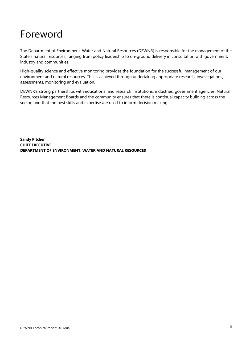### Foreword

The Department of Environment, Water and Natural Resources (DEWNR) is responsible for the management of the State's natural resources, ranging from policy leadership to on-ground delivery in consultation with government, industry and communities.

High-quality science and effective monitoring provides the foundation for the successful management of our environment and natural resources. This is achieved through undertaking appropriate research, investigations, assessments, monitoring and evaluation.

DEWNR's strong partnerships with educational and research institutions, industries, government agencies, Natural Resources Management Boards and the community ensures that there is continual capacity building across the sector, and that the best skills and expertise are used to inform decision making.

**Sandy Pitcher CHIEF EXECUTIVE DEPARTMENT OF ENVIRONMENT, WATER AND NATURAL RESOURCES**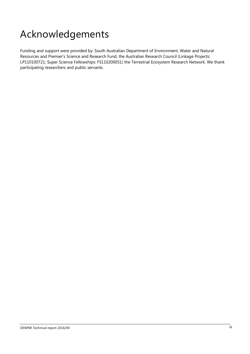# Acknowledgements

Funding and support were provided by: South Australian Department of Environment, Water and Natural Resources and Premier's Science and Research Fund, the Australian Research Council (Linkage Projects: LP110100721; Super Science Fellowships: FS110200051) the Terrestrial Ecosystem Research Network. We thank participating researchers and public servants.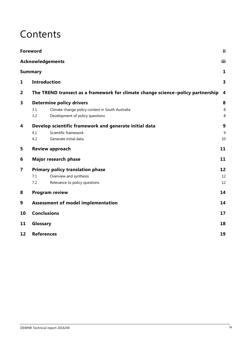### **Contents**

|                | <b>Foreword</b>                                        |                                                                                 | ii                      |  |
|----------------|--------------------------------------------------------|---------------------------------------------------------------------------------|-------------------------|--|
|                |                                                        | <b>Acknowledgements</b>                                                         | iii                     |  |
|                | <b>Summary</b>                                         |                                                                                 | 1                       |  |
| $\mathbf{1}$   | <b>Introduction</b>                                    |                                                                                 |                         |  |
| $\overline{2}$ |                                                        | The TREND transect as a framework for climate change science-policy partnership | $\overline{\mathbf{4}}$ |  |
| 3              | <b>Determine policy drivers</b>                        |                                                                                 |                         |  |
|                | 3.1                                                    | Climate change policy context in South Australia                                | 8                       |  |
|                | 3.2                                                    | Development of policy questions                                                 | 8                       |  |
| 4              | Develop scientific framework and generate initial data |                                                                                 | 9                       |  |
|                | 4.1                                                    | Scientific framework                                                            | 9                       |  |
|                | 4.2                                                    | Generate initial data                                                           | 10                      |  |
| 5              |                                                        | <b>Review approach</b>                                                          | 11                      |  |
| 6              | Major research phase                                   |                                                                                 | 11                      |  |
| 7              |                                                        | <b>Primary policy translation phase</b>                                         | 12                      |  |
|                | 7.1                                                    | Overview and synthesis                                                          | 12                      |  |
|                | 7.2                                                    | Relevance to policy questions                                                   | 12                      |  |
| 8              | <b>Program review</b>                                  |                                                                                 | 14                      |  |
| 9              | <b>Assessment of model implementation</b>              |                                                                                 | 14                      |  |
| 10             | <b>Conclusions</b>                                     |                                                                                 | 17                      |  |
| 11             | Glossary                                               |                                                                                 |                         |  |
| 12             | <b>References</b>                                      |                                                                                 | 19                      |  |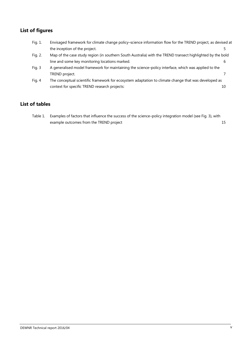### **List of figures**

| Fig. 1.  | Envisaged framework for climate change policy-science information flow for the TREND project, as devised at |    |  |  |
|----------|-------------------------------------------------------------------------------------------------------------|----|--|--|
|          | the inception of the project.                                                                               |    |  |  |
| Fig. 2.  | Map of the case study region (in southern South Australia) with the TREND transect highlighted by the bold  |    |  |  |
|          | line and some key monitoring locations marked.                                                              | b  |  |  |
| Fig. $3$ | A generalised model framework for maintaining the science-policy interface, which was applied to the        |    |  |  |
|          | TREND project.                                                                                              |    |  |  |
| Fig. 4   | The conceptual scientific framework for ecosystem adaptation to climate change that was developed as        |    |  |  |
|          | context for specific TREND research projects:                                                               | 10 |  |  |
|          |                                                                                                             |    |  |  |

### **List of tables**

Table 1. Examples of factors that influence the success of the science–policy integration model (see Fig. 3), with example outcomes from the TREND project 15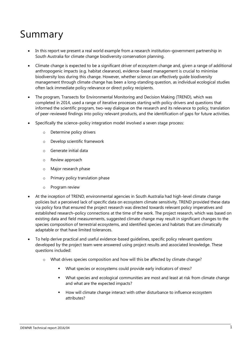# Summary

- In this report we present a real world example from a research institution–government partnership in South Australia for climate change biodiversity conservation planning.
- Climate change is expected to be a significant driver of ecosystem change and, given a range of additional anthropogenic impacts (e.g. habitat clearance), evidence-based management is crucial to minimise biodiversity loss during this change. However, whether science can effectively guide biodiversity management through climate change has been a long-standing question, as individual ecological studies often lack immediate policy relevance or direct policy recipients.
- The program, Transects for Environmental Monitoring and Decision Making (TREND), which was completed in 2014, used a range of iterative processes starting with policy drivers and questions that informed the scientific program, two-way dialogue on the research and its relevance to policy, translation of peer-reviewed findings into policy relevant products, and the identification of gaps for future activities.
- Specifically the science–policy integration model involved a seven stage process:
	- o Determine policy drivers
	- o Develop scientific framework
	- o Generate initial data
	- o Review approach
	- o Major research phase
	- o Primary policy translation phase
	- o Program review
- At the inception of TREND, environmental agencies in South Australia had high-level climate change policies but a perceived lack of specific data on ecosystem climate sensitivity. TREND provided these data via policy fora that ensured the project research was directed towards relevant policy imperatives and established research–policy connections at the time of the work. The project research, which was based on existing data and field measurements, suggested climate change may result in significant changes to the species composition of terrestrial ecosystems, and identified species and habitats that are climatically adaptable or that have limited tolerances.
- To help derive practical and useful evidence-based guidelines, specific policy relevant questions developed by the project team were answered using project results and associated knowledge. These questions included:
	- o What drives species composition and how will this be affected by climate change?
		- What species or ecosystems could provide early indicators of stress?
		- What species and ecological communities are most and least at risk from climate change and what are the expected impacts?
		- **How will climate change interact with other disturbance to influence ecosystem** attributes?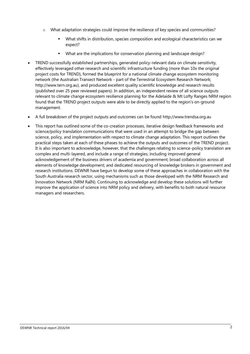- o What adaptation strategies could improve the resilience of key species and communities?
	- What shifts in distribution, species composition and ecological characteristics can we expect?
	- What are the implications for conservation planning and landscape design?
- TREND successfully established partnerships, generated policy-relevant data on climate sensitivity, effectively leveraged other research and scientific infrastructure funding (more than 10x the original project costs for TREND), formed the blueprint for a national climate change ecosystem monitoring network (the Australian Transect Network - part of the Terrestrial Ecosystem Research Network; http://www.tern.org.au), and produced excellent quality scientific knowledge and research results (published over 25 peer reviewed papers). In addition, an independent review of all science outputs relevant to climate change ecosystem resilience planning for the Adelaide & Mt Lofty Ranges NRM region found that the TREND project outputs were able to be directly applied to the region's on-ground management.
- A full breakdown of the project outputs and outcomes can be found http://www.trendsa.org.au
- This report has outlined some of the co-creation processes, iterative design feedback frameworks and science/policy translation communications that were used in an attempt to bridge the gap between science, policy, and implementation with respect to climate change adaptation. This report outlines the practical steps taken at each of these phases to achieve the outputs and outcomes of the TREND project. It is also important to acknowledge, however, that the challenges relating to science-policy translation are complex and multi-layered, and include a range of strategies, including improved general acknowledgement of the business drivers of academia and government; broad collaboration across all elements of knowledge development; and dedicated resourcing of knowledge brokers in government and research institutions. DEWNR have begun to develop some of these approaches in collaboration with the South Australia research sector, using mechanisms such as those developed with the NRM Research and Innovation Network (NRM RaIN). Continuing to acknowledge and develop these solutions will further improve the application of science into NRM policy and delivery, with benefits to both natural resource managers and researchers.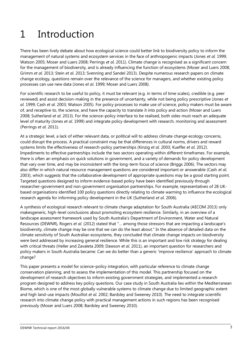# 1 Introduction

There has been lively debate about how ecological science could better link to biodiversity policy to inform the management of natural systems and ecosystem services in the face of anthropogenic impacts (Jones *et al.* 1999; Watson 2005; Moser and Luers 2008; Perrings *et al.* 2011). Climate change is recognised as a significant concern for the management of biodiversity, and is already influencing the function of ecosystems (Moser and Luers 2008; Grimm *et al.* 2013; Stein *et al.* 2013; Svenning and Sandel 2013). Despite numerous research papers on climate change ecology, questions remain over the relevance of the science for managers, and whether existing policy processes can use new data (Jones *et al.* 1999; Moser and Luers 2008).

For scientific research to be useful to policy, it must be relevant (e.g. in terms of time scales), credible (e.g. peer reviewed) and assist decision-making in the presence of uncertainty, while not being policy prescriptive (Jones *et al.* 1999; Cash *et al.* 2003; Watson 2005). For policy processes to make use of science, policy makers must be aware of, and receptive to, the science, and have the capacity to translate it into policy and action (Moser and Luers 2008; Sutherland *et al.* 2013). For the science–policy interface to be realised, both sides must reach an adequate level of maturity (Jones *et al.* 1999) and integrate policy development with research, monitoring and assessment (Perrings *et al.* 2011).

At a strategic level, a lack of either relevant data, or political will to address climate change ecology concerns, could disrupt the process. A practical constraint may be that differences in cultural norms, drivers and reward systems limits the effectiveness of research-policy partnerships (Kinzig *et al.* 2003; Kueffer *et al.* 2012). Impediments to effective partnerships include the two sectors operating within different timeframes. For example, there is often an emphasis on quick solutions in government, and a variety of demands for policy development that vary over time, and may be inconsistent with the long-term focus of science (Briggs 2006). The sectors may also differ in which natural resource management questions are considered important or answerable (Cash *et al.* 2003), which suggests that the collaborative development of appropriate questions may be a good starting point. Targeted questions designed to inform evidence-based policy have been identified previously through researcher–government and non-government organisation partnerships. For example, representatives of 28 UKbased organisations identified 100 policy questions directly relating to climate warming to influence the ecological research agenda for informing policy development in the UK (Sutherland *et al.* 2006).

A synthesis of ecological research relevant to climate change adaptation for South Australia (AECOM 2013) only makesgeneric, high-level conclusions about promoting ecosystem resilience. Similarly, in an overview of a landscape assessment framework used by South Australia's Department of Environment, Water and Natural Resources (DEWNR), Rogers *et al.* (2012) stated that "… among those stressors that are impacting a landscape's biodiversity, climate change may be one that we can do the least about." In the absence of detailed data on the climate sensitivity of South Australian ecosystems, they concluded that climate change impacts on biodiversity were best addressed by increasing general resilience. While this is an important and low risk strategy for dealing with critical threats (Heller and Zavaleta 2009; Dawson *et al.* 2011), an important question for researchers and policy makers in South Australia became: Can we do better than a generic 'improve resilience' approach to climate change?

This paper presents a model for science–policy integration, with particular reference to climate change conservation planning, and to assess the implementation of this model. This partnership focused on the development of research objectives to inform existing government strategies, and implemented a research program designed to address key policy questions. Our case study in South Australia lies within the Mediterranean Biome, which is one of the most globally vulnerable systems to climate change due to limited geographic extent and high land-use impacts (Mouillot *et al.* 2002; Bardsley and Sweeney 2010). The need to integrate scientific research into climate change policy with practical management actions in such regions has been recognised previously (Moser and Luers 2008; Bardsley and Sweeney 2010).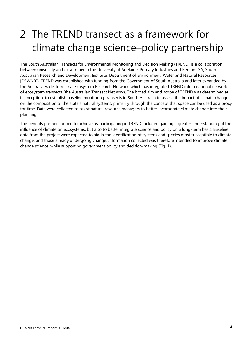# 2 The TREND transect as a framework for climate change science–policy partnership

The South Australian Transects for Environmental Monitoring and Decision Making (TREND) is a collaboration between university and government (The University of Adelaide, Primary Industries and Regions SA, South Australian Research and Development Institute, Department of Environment, Water and Natural Resources [DEWNR]). TREND was established with funding from the Government of South Australia and later expanded by the Australia-wide Terrestrial Ecosystem Research Network, which has integrated TREND into a national network of ecosystem transects (the Australian Transect Network). The broad aim and scope of TREND was determined at its inception: to establish baseline monitoring transects in South Australia to assess the impact of climate change on the composition of the state's natural systems, primarily through the concept that space can be used as a proxy for time. Data were collected to assist natural resource managers to better incorporate climate change into their planning.

The benefits partners hoped to achieve by participating in TREND included gaining a greater understanding of the influence of climate on ecosystems, but also to better integrate science and policy on a long-term basis. Baseline data from the project were expected to aid in the identification of systems and species most susceptible to climate change, and those already undergoing change. Information collected was therefore intended to improve climate change science, while supporting government policy and decision-making (Fig. 1).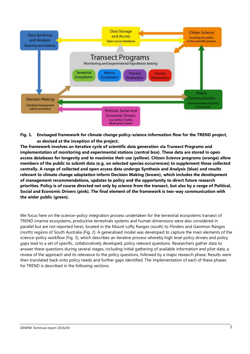

**Fig. 1. Envisaged framework for climate change policy–science information flow for the TREND project, as devised at the inception of the project.**

**The framework involves an iterative cycle of scientific data generation via Transect Programs and implementation of monitoring and experimental stations (central box). These data are stored in open access databases for longevity and to maximise their use (yellow). Citizen Science programs (orange) allow members of the public to submit data (e.g. on selected species occurrences) to supplement those collected centrally. A range of collected and open access data undergo Synthesis and Analysis (blue) and results relevant to climate change adaptation inform Decision Making (brown), which includes the development of management recommendations, updates to policy and the opportunity to direct future research priorities. Policy is of course directed not only by science from the transect, but also by a range of Political, Social and Economic Drivers (pink). The final element of the framework is two-way communication with the wider public (green).** 

We focus here on the science–policy integration process undertaken for the terrestrial ecosystems transect of TREND (marine ecosystems, productive terrestrials systems and human dimensions were also considered in parallel but are not reported here), located in the Mount Lofty Ranges (south) to Flinders and Gammon Ranges (north) regions of South Australia (Fig. 2). A generalised model was developed to capture the main elements of the science–policy workflow (Fig. 3), which describes an iterative process whereby high level policy drivers and policy gaps lead to a set of specific, collaboratively developed, policy relevant questions. Researchers gather data to answer these questions during several stages, including initial gathering of available information and pilot data, a review of the approach and its relevance to the policy questions, followed by a major research phase. Results were then translated back onto policy needs and further gaps identified. The implementation of each of these phases for TREND is described in the following sections.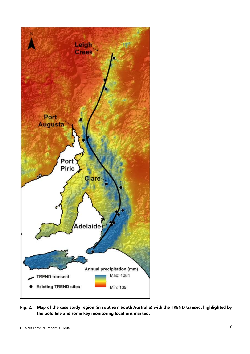

#### **Fig. 2. Map of the case study region (in southern South Australia) with the TREND transect highlighted by the bold line and some key monitoring locations marked.**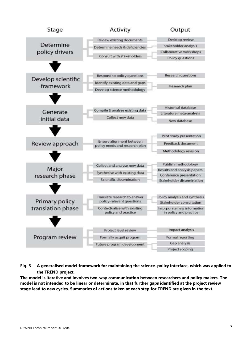

**Fig. 3 A generalised model framework for maintaining the science–policy interface, which was applied to the TREND project.** 

**The model is iterative and involves two-way communication between researchers and policy makers. The model is not intended to be linear or determinate, in that further gaps identified at the project review stage lead to new cycles. Summaries of actions taken at each step for TREND are given in the text.**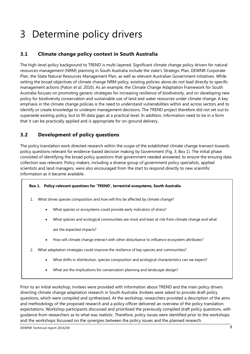# 3 Determine policy drivers

### **3.1 Climate change policy context in South Australia**

The high-level policy background to TREND is multi-layered. Significant climate change policy drivers for natural resources management (NRM) planning in South Australia include the state's Strategic Plan, DEWNR Corporate Plan, the State Natural Resources Management Plan, as well as relevant Australian Government initiatives. While setting the broad objectives of climate change NRM policy, existing policies alone do not lead directly to specific management actions (Paton *et al.* 2010). As an example, the Climate Change Adaptation Framework for South Australia focuses on promoting generic strategies for increasing resilience of biodiversity, and on developing new policy for biodiversity conservation and sustainable use of land and water resources under climate change. A key emphasis in the climate change policies is the need to understand vulnerabilities within and across sectors and to identify or create knowledge to underpin management decisions. The TREND project therefore did not set out to supersede existing policy, but to fill data gaps at a practical level. In addition, information need to be in a form that it can be practically applied and is appropriate for on-ground delivery.

#### **3.2 Development of policy questions**

The policy translation work directed research within the scope of the established climate change transect towards policy questions relevant for evidence-based decision making by Government (Fig. 3; Box 1). The initial phase consisted of identifying the broad policy questions that government needed answered, to ensure the ensuing data collection was relevant. Policy makers, including a diverse group of government policy specialists, applied scientists and land managers, were also encouraged from the start to respond directly to new scientific information as it became available.

#### **Box 1. Policy-relevant questions for 'TREND', terrestrial ecosystems, South Australia**

- 1. What drives species composition and how will this be affected by climate change?
	- What species or ecosystems could provide early indicators of stress?
	- What species and ecological communities are most and least at risk from climate change and what

are the expected impacts?

- How will climate change interact with other disturbance to influence ecosystem attributes?
- 2. What adaptation strategies could improve the resilience of key species and communities?
	- What shifts in distribution, species composition and ecological characteristics can we expect?
	- What are the implications for conservation planning and landscape design?

Prior to an initial workshop, invitees were provided with information about TREND and the main policy drivers directing climate change adaptation research in South Australia. Invitees were asked to provide draft policy questions, which were compiled and synthesised. At the workshop, researchers provided a description of the aims and methodology of the proposed research and a policy officer delivered an overview of the policy translation expectations. Workshop participants discussed and prioritised the previously compiled draft policy questions, with guidance from researchers as to what was realistic. Therefore, policy issues were identified prior to the workshops and the workshops focussed on the synergies between the policy issues and the planned research.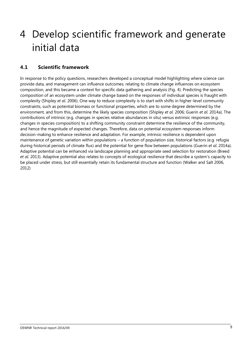# 4 Develop scientific framework and generate initial data

### **4.1 Scientific framework**

In response to the policy questions, researchers developed a conceptual model highlighting where science can provide data, and management can influence outcomes, relating to climate change influences on ecosystem composition, and this became a context for specific data gathering and analysis (Fig. 4). Predicting the species composition of an ecosystem under climate change based on the responses of individual species is fraught with complexity (Shipley *et al.* 2006). One way to reduce complexity is to start with shifts in higher-level community constraints, such as potential biomass or functional properties, which are to some degree determined by the environment, and from this, determine the likely species composition (Shipley *et al.* 2006; Guerin *et al.* 2014a). The contributions of intrinsic (e.g. changes in species relative abundances in situ) versus extrinsic responses (e.g. changes in species composition) to a shifting community constraint determine the resilience of the community, and hence the magnitude of expected changes. Therefore, data on potential ecosystem responses inform decision-making to enhance resilience and adaptation. For example, intrinsic resilience is dependent upon maintenance of genetic variation within populations – a function of population size, historical factors (e.g. refugia during historical periods of climate flux) and the potential for gene flow between populations (Guerin *et al.* 2014a). Adaptive potential can be enhanced via landscape planning and appropriate seed selection for restoration (Breed *et al.* 2013). Adaptive potential also relates to concepts of ecological resilience that describe a system's capacity to be placed under stress, but still essentially retain its fundamental structure and function (Walker and Salt 2006, 2012)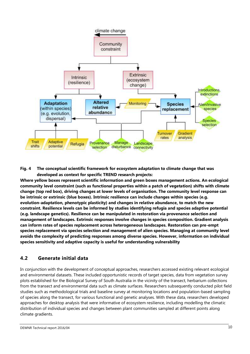

**Fig. 4 The conceptual scientific framework for ecosystem adaptation to climate change that was developed as context for specific TREND research projects:**

**Where yellow boxes represent scientific information and green boxes management actions. An ecological community level constraint (such as functional properties within a patch of vegetation) shifts with climate change (top red box), driving changes at lower levels of organisation. The community level response can be intrinsic or extrinsic (blue boxes). Intrinsic resilience can include changes within species (e.g. evolution-adaptation, phenotypic plasticity) and changes in relative abundance, to match the new constraint. Resilience levels can be informed by studies identifying refugia and species adaptive potential (e.g. landscape genetics). Resilience can be manipulated in restoration via provenance selection and management of landscapes. Extrinsic responses involve changes in species composition. Gradient analysis can inform rates of species replacement across heterogeneous landscapes. Restoration can pre-empt species replacement via species selection and management of alien species. Managing at community level avoids the complexity of predicting responses among diverse species. However, information on individual species sensitivity and adaptive capacity is useful for understanding vulnerability**

#### **4.2 Generate initial data**

In conjunction with the development of conceptual approaches, researchers accessed existing relevant ecological and environmental datasets. These included opportunistic records of target species, data from vegetation survey plots established for the Biological Survey of South Australia in the vicinity of the transect, herbarium collections from the transect and environmental data such as climate surfaces. Researchers subsequently conducted pilot field studies such as methodological trials and baseline survey at monitoring locations and population-based sampling of species along the transect, for various functional and genetic analyses. With these data, researchers developed approaches for desktop analysis that were informative of ecosystem resilience, including modelling the climatic distribution of individual species and changes between plant communities sampled at different points along climate gradients.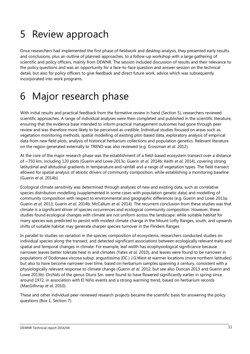## 5 Review approach

Once researchers had implemented the first phase of fieldwork and desktop analysis, they presented early results and conclusions, plus an outline of planned approaches, to a follow-up workshop with a large gathering of scientific and policy officers, mainly from DEWNR. The session included discussion of results and their relevance to the policy questions and was an opportunity for a face-to-face question and answer session on the technical detail, but also for policy officers to give feedback and direct future work, advice which was subsequently incorporated into work programs.

# 6 Major research phase

With initial results and practical feedback from the formative review in hand (Section 5), researchers reviewed scientific approaches. A range of individual analyses were then completed and published in the scientific literature, ensuring that the evidence base intended to inform practical management outcomes had gone through peer review and was therefore more likely to be perceived as credible. Individual studies focused on areas such as vegetation monitoring methods, spatial modelling of existing plot-based data, exploratory analysis of empirical data from new field plots, analysis of historical herbarium collections and population genetics. Relevant literature on the region generated externally to TREND was also reviewed (e.g. Crossman *et al.* 2012).

At the core of the major research phase was the establishment of a field-based ecosystem transect over a distance of ~750 km, including 120 plots (Guerin and Lowe 2013c; Guerin *et al.* 2014b; Keith *et al.* 2014), covering strong latitudinal and altitudinal gradients in temperature and rainfall and a range of vegetation types. The field transect allowed for spatial analysis of abiotic drivers of community composition, while establishing a monitoring baseline (Guerin *et al.* 2014b).

Ecological climate sensitivity was determined through analyses of new and existing data, such as correlative species distribution modelling (supplemented in some cases with population genetic data) and modelling of community composition with respect to environmental and geographic differences (e.g. Guerin and Lowe 2013a; Guerin *et al.* 2013; Guerin *et al.* 2014b; McCallum *et al.* 2014). The recurrent conclusion from these studies was that climate is a significant driver of species occurrences and ecological community composition. However, these studies found ecological changes with climate are not uniform across the landscape: while suitable habitat for many species was predicted to persist with modest climate change in the Mount Lofty Ranges, south, and upwards shifts of suitable habitat may generate sharper species turnover in the Flinders Ranges.

In parallel to studies on variation in the species composition of ecosystems, researchers conducted studies on individual species along the transect, and detected significant associations between ecologically relevant traits and spatial and temporal changes in climate. For example, leaf width has ecophysiological significance because narrower leaves better tolerate heat in arid climates (Yates *et al.* 2010), and leaves were found to be narrower in populations of Dodonaea viscosa subsp. angustissima (DC.) J.G.West at warmer locations (more northern latitudes) but also to have become narrower over time, based on herbarium samples spanning a century, consistent with a physiologically relevant response to climate change (Guerin *et al.* 2012, but see also Duncan 2013 and Guerin and Lowe 2013b). Orchids of the genus Diuris Sm. were found to have flowered significantly earlier in spring since around 1972, in association with El Niño events and a strong warming trend, based on herbarium records (MacGillivray *et al.* 2010).

These and other individual peer-reviewed research projects became the scientific basis for answering the policy questions (Box 1; Section 7).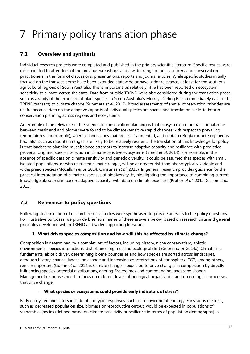# 7 Primary policy translation phase

### **7.1 Overview and synthesis**

Individual research projects were completed and published in the primary scientific literature. Specific results were disseminated to attendees of the previous workshops and a wider range of policy officers and conservation practitioners in the form of discussions, presentations, reports and journal articles. While specific studies initially focused on the transect, some have been extended statewide or have wider relevance, at least for the southern agricultural regions of South Australia. This is important, as relatively little has been reported on ecosystem sensitivity to climate across the state. Data from outside TREND were also considered during the translation phase, such as a study of the exposure of plant species in South Australia's Murray–Darling Basin (immediately east of the TREND transect) to climate change (Summers *et al.* 2012). Broad assessments of spatial conservation priorities are useful because data on the adaptive capacity of individual species are sparse and translation seeks to inform conservation planning across regions and ecosystems.

An example of the relevance of the science to conservation planning is that ecosystems in the transitional zone between mesic and arid biomes were found to be climate-sensitive (rapid changes with respect to prevailing temperatures, for example), whereas landscapes that are less fragmented, and contain refugia (or heterogeneous habitats), such as mountain ranges, are likely to be relatively resilient. The translation of this knowledge for policy is that landscape planning must balance attempts to increase adaptive capacity and resilience with predictive provenancing and species selection in climate-sensitive ecosystems (Breed *et al*. 2013). For example, in the absence of specific data on climate sensitivity and genetic diversity, it could be assumed that species with small, isolated populations, or with restricted climatic ranges, will be at greater risk than phenotypically variable and widespread species (McCallum *et al.* 2014; Christmas *et al*. 2015). In general, research provides guidance for the practical interpretation of climate responses of biodiversity, by highlighting the importance of combining current knowledge about resilience (or adaptive capacity) with data on climate exposure (Prober *et al.* 2012; Gillson *et al.* 2013).

### **7.2 Relevance to policy questions**

Following dissemination of research results, studies were synthesised to provide answers to the policy questions. For illustrative purposes, we provide brief summaries of these answers below, based on research data and general principles developed within TREND and wider supporting literature.

#### **1. What drives species composition and how will this be affected by climate change?**

Composition is determined by a complex set of factors, including history, niche conservatism, abiotic environments, species interactions, disturbance regimes and ecological drift (Guerin *et al.* 2014a). Climate is a fundamental abiotic driver, determining biome boundaries and how species are sorted across landscapes, although history, chance, landscape change and increasing concentrations of atmospheric CO2, among others, remain important (Guerin *et al.* 2014a). Climate change is expected to drive changes in composition by directly influencing species potential distributions, altering fire regimes and compounding landscape change. Management responses need to focus on different levels of biological organisation and on ecological processes that drive change.

#### **What species or ecosystems could provide early indicators of stress?**

Early ecosystem indicators include phenotypic responses, such as in flowering phenology. Early signs of stress, such as decreased population size, biomass or reproductive output, would be expected in populations of vulnerable species (defined based on climate sensitivity or resilience in terms of population demography) in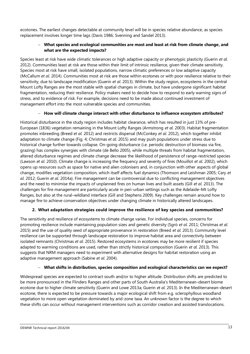ecotones. The earliest changes detectable at community level will be in species relative abundance, as species replacement involves longer time lags (Davis 1986; Svenning and Sandel 2013).

#### **What species and ecological communities are most and least at risk from climate change, and what are the expected impacts?**

Species least at risk have wide climatic tolerances or high adaptive capacity or phenotypic plasticity (Guerin *et al.* 2012). Communities least at risk are those within their limit of intrinsic resilience, given their climate sensitivity. Species most at risk have small, isolated populations, narrow climatic preferences or low adaptive capacity (McCallum *et al.* 2014). Communities most at risk are those within ecotones or with poor resilience relative to their sensitivity, due to landscape modification (Guerin *et al.* 2013). Within the study region, ecosystems in the central Mount Lofty Ranges are the most stable with spatial changes in climate, but have undergone significant habitat fragmentation, reducing their resilience. Policy makers need to decide how to respond to early warning signs of stress, and to evidence of risk. For example, decisions need to be made about continued investment of management effort into the most vulnerable species and communities.

#### **How will climate change interact with other disturbance to influence ecosystem attributes?**

Historical disturbance in the study region includes habitat clearance, which has resulted in just 13% of pre-European (1836) vegetation remaining in the Mount Lofty Ranges (Armstrong *et al.* 2003). Habitat fragmentation promotes inbreeding (Breed *et al.* 2012) and restricts dispersal (McConkey *et al.* 2012), which together inhibit adaptation to climate change (Fig. 4; Christmas *et al*. 2015) and may push populations under stress due to historical change further towards collapse. On-going disturbance (i.e. periodic destruction of biomass via fire, grazing) has complex synergies with climate (de Bello 2005), while multiple threats from habitat fragmentation, altered disturbance regimes and climate change decrease the likelihood of persistence of range-restricted species (Lawson *et al.* 2010). Climate change is increasing the frequency and severity of fires (Mouillot *et al.* 2002), which opens up resources such as space for native and alien colonisers and, in conjunction with other aspects of global change, modifies vegetation composition, which itself affects fuel dynamics (Thomson and Leishman 2005; Cary *et al.* 2012; Guerin *et al.* 2014a). Fire management can be controversial due to conflicting management objectives and the need to minimise the impacts of unplanned fires on human lives and built assets (Gill *et al.* 2013). The challenges for fire management are particularly acute in peri-urban settings such as the Adelaide–Mt Lofty Ranges, but also at the rural–wildland interface (Gill and Stephens 2009). Key challenges remain around how to manage fire to achieve conservation objectives under changing climate in historically altered landscapes.

#### **2. What adaptation strategies could improve the resilience of key species and communities?**

The sensitivity and resilience of ecosystems to climate change varies. For individual species, concerns for promoting resilience include maintaining population sizes and genetic diversity (Sgrò *et al.* 2011; Christmas *et al*. 2015) and the use of quality seed of appropriate provenance in restoration (Breed *et al.* 2013). Community level resilience can be supported through landscape restoration to improve habitat area and connectivity between isolated remnants (Christmas *et al*. 2015). Restored ecosystems in ecotones may be more resilient if species adapted to warming conditions are used, rather than strictly historical composition (Guerin *et al.* 2013). This suggests that NRM managers need to experiment with alternative designs for habitat restoration using an adaptive management approach (Sabine *et al.* 2004).

#### **What shifts in distribution, species composition and ecological characteristics can we expect?**

Widespread species are expected to contract south and/or to higher altitude. Distribution shifts are predicted to be more pronounced in the Flinders Ranges and other parts of South Australia's Mediterranean–desert biome ecotone due to higher climate sensitivity (Guerin and Lowe 2013a; Guerin *et al.* 2013). In the Mediterranean–desert ecotone, there is expected to be pressure towards a major ecological shift from e.g. sclerophyllous woodland vegetation to more open vegetation dominated by arid-zone taxa. An unknown factor is the degree to which these shifts can occur without management interventions such as corridor creation and assisted translocations.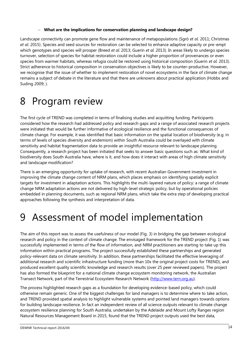#### **What are the implications for conservation planning and landscape design?**

Landscape connectivity can promote gene flow and maintenance of metapopulations (Sgrò *et al.* 2011; Christmas *et al*. 2015). Species and seed sources for restoration can be selected to enhance adaptive capacity or pre-empt which genotypes and species will prosper (Breed *et al.* 2013; Guerin *et al.* 2013). In areas likely to undergo species turnover, selection of species for habitat restoration could include a higher proportion of provenances or even species from warmer habitats, whereas refugia could be restored using historical composition (Guerin *et al.* 2013). Strict adherence to historical composition in conservation objectives is likely to be counter-productive. However, we recognise that the issue of whether to implement restoration of novel ecosystems in the face of climate change remains a subject of debate in the literature and that there are unknowns about practical application (Hobbs and Suding 2009; ).

### 8 Program review

The first cycle of TREND was completed in terms of finalising studies and acquitting funding. Participants considered how the research had addressed policy and research gaps and a range of associated research projects were initiated that would be further informative of ecological resilience and the functional consequences of climate change. For example, it was identified that basic information on the spatial location of biodiversity (e.g. in terms of levels of species diversity and endemism) within South Australia could be overlayed with climate sensitivity and habitat fragmentation data to provide an insightful resource relevant to landscape planning. Consequently, a research project has been initiated that seeks to answer basic questions such as: What kind of biodiversity does South Australia have, where is it, and how does it interact with areas of high climate sensitivity and landscape modification?

There is an emerging opportunity for uptake of research, with recent Australian Government investment in improving the climate change content of NRM plans, which places emphasis on identifying spatially explicit targets for investment in adaptation actions. This highlights the multi-layered nature of policy: a range of climate change NRM adaptation actions are not delivered by high-level strategic policy, but by operational policies embedded in planning documents, such as regional NRM plans, which take the extra step of developing practical approaches following the synthesis and interpretation of data.

### 9 Assessment of model implementation

The aim of this report was to assess the usefulness of our model (Fig. 3) in bridging the gap between ecological research and policy in the context of climate change. The envisaged framework for the TREND project (Fig. 1) was successfully implemented in terms of the flow of information, and NRM practitioners are starting to take up this information within practical programs. The project successfully established these partnerships and generated policy-relevant data on climate sensitivity. In addition, these partnerships facilitated the effective leveraging of additional research and scientific infrastructure funding (more than 10x the original project costs for TREND), and produced excellent quality scientific knowledge and research results (over 25 peer reviewed papers). The project has also formed the blueprint for a national climate change ecosystem monitoring network, the Australian Transect Network, part of the Terrestrial Ecosystem Research Network [\(http://www.tern.org.au\)](http://www.tern.org.au/).

The process highlighted research gaps as a foundation for developing evidence-based policy, which could otherwise remain generic. One of the biggest challenges for land managers is to determine where to take action, and TREND provided spatial analysis to highlight vulnerable systems and pointed land managers towards options for building landscape resilience. In fact an independent review of all science outputs relevant to climate change ecosystem resilience planning for South Australia, undertaken by the Adelaide and Mount Lofty Ranges region Natural Resources Management Board in 2015, found that the TREND project outputs used the best data,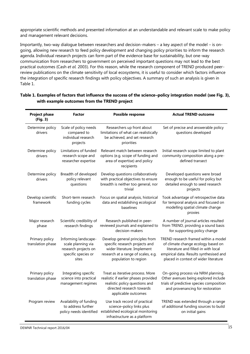appropriate scientific methods and presented information at an understandable and relevant scale to make policy and management relevant decisions.

Importantly, two-way dialogue between researchers and decision-makers – a key aspect of the model – is ongoing, allowing new research to feed policy development and changing policy priorities to inform the research agenda. Individual research projects can form part of the evidence base for sustainability, but one-way communication from researchers to government on perceived important questions may not lead to the best practical outcomes (Cash *et al.* 2003). For this reason, while the research component of TREND produced peerreview publications on the climate sensitivity of local ecosystems, it is useful to consider which factors influence the integration of specific research findings with policy objectives. A summary of such an analysis is given in Table 1.

| <b>Project phase</b><br>(Fig. 3)    | <b>Factor</b>                                                                                      | Possible response                                                                                                                                               | <b>Actual TREND outcome</b>                                                                                                                                                                           |
|-------------------------------------|----------------------------------------------------------------------------------------------------|-----------------------------------------------------------------------------------------------------------------------------------------------------------------|-------------------------------------------------------------------------------------------------------------------------------------------------------------------------------------------------------|
| Determine policy<br>drivers         | Scale of policy needs<br>compared to<br>individual research<br>projects                            | Researchers up front about<br>limitations of what can realistically<br>be achieved, and set research<br>priorities                                              | Set of precise and answerable policy<br>questions developed                                                                                                                                           |
| Determine policy<br>drivers         | Limitations of funded<br>research scope and<br>researcher expertise                                | Relevant match between research<br>options (e.g. scope of funding and<br>area of expertise) and policy<br>recipients                                            | Initial research scope limited to plant<br>community composition along a pre-<br>defined transect                                                                                                     |
| Determine policy<br>drivers         | Breadth of developed<br>policy relevant<br>questions                                               | Develop questions collaboratively<br>with practical objectives to ensure<br>breadth is neither too general, nor<br>trivial                                      | Developed questions were broad<br>enough to be useful for policy but<br>detailed enough to seed research<br>projects                                                                                  |
| Develop scientific<br>framework     | Short-term research<br>funding cycles                                                              | Focus on spatial analysis, historical<br>data and establishing ecological<br>baselines                                                                          | Took advantage of retrospective data<br>for temporal analysis and focused on<br>modelling spatial climate change<br>proxies                                                                           |
| Major research<br>phase             | Scientific credibility of<br>research findings                                                     | Research published in peer-<br>reviewed journals and explained to<br>decision-makers                                                                            | A number of journal articles resulted<br>from TREND, providing a sound basis<br>for supporting policy change                                                                                          |
| Primary policy<br>translation phase | Informing landscape-<br>scale planning via<br>research projects on<br>specific species or<br>sites | Develop general principles from<br>specific research projects and<br>wider literature. Implement<br>research at a range of scales, e.g.<br>population to region | TREND research framed within a model<br>of climate change ecology based on<br>literature and filled-in with local<br>empirical data. Results synthesised and<br>placed in context of wider literature |
| Primary policy<br>translation phase | Integrating specific<br>science into practical<br>management regimes                               | Treat as iterative process. More<br>realistic if earlier phases provided<br>realistic policy questions and<br>directed research towards<br>applicable outcomes  | On-going process via NRM planning.<br>Other avenues being explored include<br>trials of predictive species composition<br>and provenancing for restoration                                            |
| Program review                      | Availability of funding<br>to address further<br>policy needs identified                           | Use track record of practical<br>science-policy links plus<br>established ecological monitoring<br>infrastructure as a platform                                 | TREND was extended through a range<br>of additional funding sources to build<br>on initial gains                                                                                                      |

#### **Table 1. Examples of factors that influence the success of the science–policy integration model (see Fig. 3), with example outcomes from the TREND project**

DEWNR Technical report 2016/04 15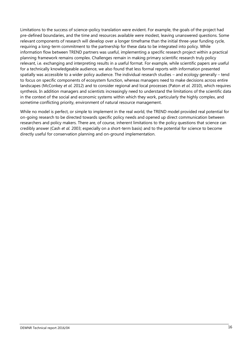Limitations to the success of science–policy translation were evident. For example, the goals of the project had pre-defined boundaries, and the time and resources available were modest, leaving unanswered questions. Some relevant components of research will develop over a longer timeframe than the initial three-year funding cycle, requiring a long-term commitment to the partnership for these data to be integrated into policy. While information flow between TREND partners was useful, implementing a specific research project within a practical planning framework remains complex. Challenges remain in making primary scientific research truly policy relevant, i.e. exchanging and interpreting results in a useful format. For example, while scientific papers are useful for a technically knowledgeable audience, we also found that less formal reports with information presented spatially was accessible to a wider policy audience. The individual research studies – and ecology generally – tend to focus on specific components of ecosystem function, whereas managers need to make decisions across entire landscapes (McConkey *et al.* 2012) and to consider regional and local processes (Paton *et al.* 2010), which requires synthesis. In addition managers and scientists increasingly need to understand the limitations of the scientific data in the context of the social and economic systems within which they work, particularly the highly complex, and sometime conflicting priority, environment of natural resource management.

While no model is perfect, or simple to implement in the real world, the TREND model provided real potential for on-going research to be directed towards specific policy needs and opened up direct communication between researchers and policy makers. There are, of course, inherent limitations to the policy questions that science can credibly answer (Cash *et al.* 2003; especially on a short-term basis) and to the potential for science to become directly useful for conservation planning and on-ground implementation.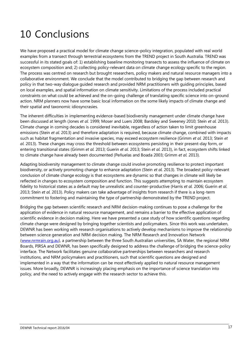# 10 Conclusions

We have proposed a practical model for climate change science–policy integration, populated with real world examples from a transect through terrestrial ecosystems from the TREND project in South Australia. TREND was successful in its stated goals of: 1) establishing baseline monitoring transects to assess the influence of climate on ecosystem composition and; 2) collecting policy-relevant data on climate change ecology specific to the region. The process was centred on research but brought researchers, policy makers and natural resource managers into a collaborative environment. We conclude that the model contributed to bridging the gap between research and policy in that two-way dialogue guided research and provided NRM practitioners with guiding principles, based on local examples, and spatial information on climate sensitivity. Limitations of the process included practical constraints on what could be achieved and the on-going challenge of translating specific science into on-ground action. NRM planners now have some basic local information on the some likely impacts of climate change and their spatial and taxonomic idiosyncrasies.

The inherent difficulties in implementing evidence-based biodiversity management under climate change have been discussed at length (Jones *et al.* 1999; Moser and Luers 2008; Bardsley and Sweeney 2010; Stein *et al.* 2013). Climate change in coming decades is considered inevitable, regardless of action taken to limit greenhouse emissions (Stein *et al.* 2013) and therefore adaptation is required, because climate change, combined with impacts such as habitat fragmentation and invasive species, may exceed ecosystem resilience (Grimm *et al.* 2013; Stein *et al.* 2013). These changes may cross the threshold between ecosystems persisting in their present-day form, or entering transitional states (Grimm *et al.* 2013; Guerin *et al.* 2013; Stein *et al.* 2013), in fact, ecosystem shifts linked to climate change have already been documented (Peñuelas and Boada 2003; Grimm *et al.* 2013).

Adapting biodiversity management to climate change could involve promoting resilience to protect important biodiversity, or actively promoting change to enhance adaptation (Stein *et al.* 2013). The broadest policy-relevant conclusion of climate change ecology is that ecosystems are dynamic so that changes in climate will likely be reflected in changes to ecosystem composition and function. This suggests attempting to maintain ecosystem fidelity to historical states as a default may be unrealistic and counter-productive (Harris *et al.* 2006; Guerin *et al.* 2013; Stein *et al.* 2013). Policy makers can take advantage of insights from research if there is a long-term commitment to fostering and maintaining the type of partnership demonstrated by the TREND project.

Bridging the gap between scientific research and NRM decision-making continues to pose a challenge for the application of evidence in natural resource management, and remains a barrier to the effective application of scientific evidence in decision making. Here we have presented a case study of how scientific questions regarding climate change were designed by bringing together scientists and policymakers. Since this work was undertaken, DEWNR has been working with research organisations to actively develop mechanisms to improve the relationship between science generation and NRM decision making. The NRM Research and Innovation Network [\(www.nrmrain.org.au\)](http://www.nrmrain.org.au/), a partnership between the three South Australian universities, SA Water, the regional NRM Boards, PIRSA and DEWNR, has been specifically designed to address the challenge of bridging the science-policy interface. The Network facilitates genuine collaborative partnerships between researchers and research institutions, and NRM policymakers and practitioners, such that scientific questions are designed and implemented in a way that the information can be most effectively applied to natural resource management issues. More broadly, DEWNR is increasingly placing emphasis on the importance of science translation into policy, and the need to actively engage with the research sector to achieve this.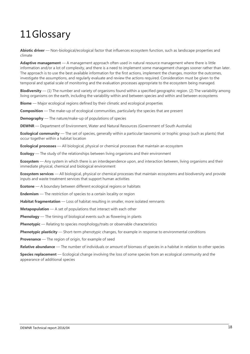## 11Glossary

**Abiotic driver** — Non-biological/ecological factor that influences ecosystem function, such as landscape properties and climate

**Adaptive management** — A management approach often used in natural resource management where there is little information and/or a lot of complexity, and there is a need to implement some management changes sooner rather than later. The approach is to use the best available information for the first actions, implement the changes, monitor the outcomes, investigate the assumptions, and regularly evaluate and review the actions required. Consideration must be given to the temporal and spatial scale of monitoring and the evaluation processes appropriate to the ecosystem being managed.

**Biodiversity** — (1) The number and variety of organisms found within a specified geographic region. (2) The variability among living organisms on the earth, including the variability within and between species and within and between ecosystems

**Biome** — Major ecological regions defined by their climatic and ecological properties

**Composition** — The make-up of ecological communities, particularly the species that are present

**Demography** — The nature/make-up of populations of species

**DEWNR** — Department of Environment, Water and Natural Resources (Government of South Australia)

**Ecological community** — The set of species, generally within a particular taxonomic or trophic group (such as plants) that occur together within a habitat location

**Ecological processes** — All biological, physical or chemical processes that maintain an ecosystem

**Ecology** — The study of the relationships between living organisms and their environment

**Ecosystem** — Any system in which there is an interdependence upon, and interaction between, living organisms and their immediate physical, chemical and biological environment

**Ecosystem services** — All biological, physical or chemical processes that maintain ecosystems and biodiversity and provide inputs and waste treatment services that support human activities

**Ecotone** — A boundary between different ecological regions or habitats

**Endemism** — The restriction of species to a certain locality or region

**Habitat fragmentation** — Loss of habitat resulting in smaller, more isolated remnants

**Metapopulation** — A set of populations that interact with each other

**Phenology** — The timing of biological events such as flowering in plants

**Phenotypic** — Relating to species morphology/traits or observable characteristics

**Phenotypic plasticity** — Short-term phenotypic changes, for example in response to environmental conditions

**Provenance** — The region of origin, for example of seed

**Relative abundance** — The number of individuals or amount of biomass of species in a habitat in relation to other species

**Species replacement** — Ecological change involving the loss of some species from an ecological community and the appearance of additional species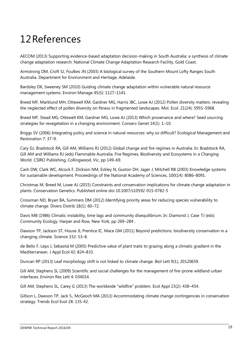# 12References

AECOM (2013) Supporting evidence-based adaptation decision-making in South Australia: a synthesis of climate change adaptation research. National Climate Change Adaptation Research Facility, Gold Coast.

Armstrong DM, Croft SJ, Foulkes JN (2003) A biological survey of the Southern Mount Lofty Ranges South Australia. Department for Environment and Heritage, Adelaide.

Bardsley DK, Sweeney SM (2010) Guiding climate change adaptation within vulnerable natural resource management systems. Environ Manage 45(5): 1127–1141.

Breed MF, Marklund MH, Ottewell KM, Gardner MG, Harris JBC, Lowe AJ (2012) Pollen diversity matters: revealing the neglected effect of pollen diversity on fitness in fragmented landscapes. Mol. Ecol. 21(24): 5955–5968.

Breed MF, Stead MG, Ottewell KM, Gardner MG, Lowe AJ (2013) Which provenance and where? Seed sourcing strategies for revegetation in a changing environment. Conserv Genet 14(1): 1–10.

Briggs SV (2006) Integrating policy and science in natural resources: why so difficult? Ecological Management and Restoration 7: 37–9.

Cary GJ, Bradstock RA, Gill AM, Williams RJ (2012) Global change and fire regimes in Australia. In: Bradstock RA, Gill AM and Williams RJ (eds) Flammable Australia. Fire Regimes, Biodiversity and Ecosystems in a Changing World. CSIRO Publishing, Collingwood, Vic, pp 149–69.

Cash DW, Clark WC, Alcock F, Dickson NM, Eckley N, Guston DH, Jager J, Mitchell RB (2003) Knowledge systems for sustainable development. Proceedings of the National Academy of Sciences, 100(14): 8086–8091.

Christmas M, Breed M, Lowe AJ (2015) Constraints and conservation implications for climate change adaptation in plants. Conservation Genetics. Published online doi 10.1007/s10592-015-0782-5

Crossman ND, Bryan BA, Summers DM (2012) Identifying priority areas for reducing species vulnerability to climate change. Divers Distrib 18(1): 60–72.

Davis MB (1986) Climatic instability, time lags and community disequilibrium. In: Diamond J, Case TJ (eds) Community Ecology. Harper and Row, New York, pp 269–284 .

Dawson TP, Jackson ST, House JI, Prentice IC, Mace GM (2011) Beyond predictions: biodiversity conservation in a changing climate. Science 332: 53–8.

de Bello F, Leps J, Sebastià M (2005) Predictive value of plant traits to grazing along a climatic gradient in the Mediterranean. J Appl Ecol 42: 824–833.

Duncan RP (2013) Leaf morphology shift is not linked to climate change. Biol Lett 9(1), 20120659.

Gill AM, Stephens SL (2009) Scientific and social challenges for the management of fire-prone wildland-urban interfaces. Environ Res Lett 4: 034014.

Gill AM, Stephens SL, Carey G (2013) The worldwide "wildfire" problem. Ecol Appl 23(2): 438–454.

Gillson L, Dawson TP, Jack S., McGeoch MA (2013) Accommodating climate change contingencies in conservation strategy. Trends Ecol Evol 28: 135-42.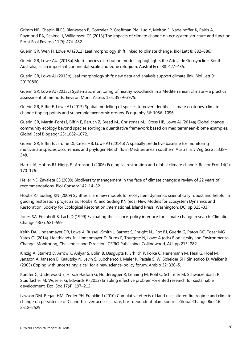Grimm NB, Chapin III FS, Bierwagen B, Gonzalez P, Groffman PM, Luo Y, Melton F, Nadelhoffer K, Pairis A, Raymond PA, Schimel J, Williamson CE (2013) The impacts of climate change on ecosystem structure and function. Front Ecol Environ 11(9): 474–482.

Guerin GR, Wen H, Lowe AJ (2012) Leaf morphology shift linked to climate change. Biol Lett 8: 882–886.

Guerin GR, Lowe AJa (2013a) Multi-species distribution modelling highlights the Adelaide Geosyncline, South Australia, as an important continental-scale arid-zone refugium. Austral Ecol 38: 427–435.

Guerin GR, Lowe AJ (2013b) Leaf morphology shift: new data and analysis support climate link. Biol Lett 9: 20120860.

Guerin GR, Lowe AJ (2013c) Systematic monitoring of heathy woodlands in a Mediterranean climate – a practical assessment of methods. Environ Monit Assess 185: 3959–3975.

Guerin GR, Biffin E, Lowe AJ (2013) Spatial modelling of species turnover identifies climate ecotones, climate change tipping points and vulnerable taxonomic groups. Ecography 36: 1086–1096.

Guerin GR, Martín-Forés I, Biffin E, Baruch Z, Breed M., Christmas MJ, Cross HB, Lowe AJ (2014a) Global change community ecology beyond species sorting: a quantitative framework based on mediterranean-biome examples. Global Ecol Biogeogr 23: 1062–1072.

Guerin GR, Biffin E, Jardine DI, Cross HB, Lowe AJ (2014b) A spatially predictive baseline for monitoring multivariate species occurrences and phylogenetic shifts in Mediterranean southern Australia. J Veg Sci 25: 338– 348.

Harris JA, Hobbs RJ, Higgs E., Aronson J (2006) Ecological restoration and global climate change. Restor Ecol 14(2): 170–176.

Heller NE, Zavaleta ES (2009) Biodiversity management in the face of climate change: a review of 22 years of recommendations. Biol Conserv 142: 14–32.

Hobbs RJ, Suding KN (2009) Synthesis: are new models for ecosystem dynamics scientifically robust and helpful in guiding restoration projects? In: Hobbs RJ and Suding KN (eds) New Models for Ecosystem Dynamics and Restoration. Society for Ecological Restoration International, Island Press, Washington, DC, pp 325–33.

Jones SA, Fischhoff B, Lach D (1999) Evaluating the science-policy interface for climate change research. Climatic Change 43(3): 581–599.

Keith DA, Lindenmayer DR, Lowe A, Russell-Smith J, Barrett S, Enright NJ, Fox BJ, Guerin G, Paton DC, Tozer MG, Yates CJ (2014). Heathlands. In: Lindenmayer D, Burns E, Thurgate N, Lowe A (eds) Biodiversity and Environmental Change: Monitoring, Challenges and Direction. CSIRO Publishing, Collingwood, AU, pp 213–282.

Kinzig A, Starrett D, Arrow K, Anlyar S, Bolin B, Dasgupta P, Erhlich P, Folke C, Hanemann M, Heal G, Hoel M, Jansson A, Jansson B, Kaautsky N, Levin S, Lubchenco J, Maler K, Pacala S. W, Scheider SH, Siniscalco D, Walker B (2003) Coping with uncertainty: a call for a new science-policy forum. Ambio 32: 330–5.

Kueffer C, Underwood E, Hirsch Hadorn G, Holderegger R, Lehning M, Pohl C, Schirmer M, Schwarzenbach R, Stauffacher M, Wuesler G, Edwards P (2012) Enabling effective problem-oriented research for sustainable development. Ecol Soc 17(4), 197–212.

Lawson DM. Regan HM, Zedler PH, Franklin J (2010) Cumulative effects of land use, altered fire regime and climate change on persistence of Ceanothus verrucosus, a rare, fire- dependent plant species. Global Change Biol 16: 2518–2529.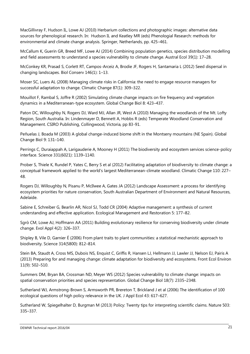MacGillivray F, Hudson IL, Lowe AJ (2010) Herbarium collections and photographic images: alternative data sources for phenological research. In: Hudson IL and Keatley MR (eds) Phenologial Research: methods for environmental and climate change analysis. Springer, Netherlands, pp. 425–461.

McCallum K, Guerin GR, Breed MF, Lowe AJ (2014) Combining population genetics, species distribution modelling and field assessments to understand a species vulnerability to climate change. Austral Ecol 39(1): 17–28.

McConkey KR, Prasad S, Corlett RT, Campos-Arceiz A, Brodie JF, Rogers H, Santamaria L (2012) Seed dispersal in changing landscapes. Biol Conserv 146(1): 1–13.

Moser SC, Luers AL (2008) Managing climate risks in California: the need to engage resource managers for successful adaptation to change. Climatic Change 87(1): 309–322.

Mouillot F, Rambal S, Joffre R (2002) Simulating climate change impacts on fire frequency and vegetation dynamics in a Mediterranean-type ecosystem. Global Change Biol 8: 423–437.

Paton DC, Willoughby N, Rogers DJ, Ward MJ, Allan JR, West A (2010) Managing the woodlands of the Mt. Lofty Region, South Australia. In: Lindenmayer D, Bennett A, Hobbs R (eds) Temperate Woodland Conservation and Management. CSIRO Publishing, Collingwood, Victoria, pp 83-91.

Peñuelas J, Boada M (2003) A global change-induced biome shift in the Montseny mountains (NE Spain). Global Change Biol 9: 131–140.

Perrings C, Duraiappah A, Larigauderie A, Mooney H (2011) The biodiversity and ecosystem services science-policy interface. Science 331(6021): 1139–1140.

Prober S, Thiele K, Rundel P, Yates C, Berry S et al (2012) Facilitating adaptation of biodiversity to climate change: a conceptual framework applied to the world's largest Mediterranean-climate woodland. Climatic Change 110: 227– 48.

Rogers DJ, Willoughby N, Pisanu P, McIlwee A, Gates JA (2012) Landscape Assessment: a process for identifying ecosystem priorities for nature conservation, South Australian Department of Environment and Natural Resources, Adelaide.

Sabine E, Schreiber G, Bearlin AR, Nicol SJ, Todd CR (2004) Adaptive management: a synthesis of current understanding and effective application. Ecological Management and Restoration 5: 177–82.

Sgrò CM, Lowe AJ, Hoffmann AA (2011) Building evolutionary resilience for conserving biodiversity under climate change. Evol Appl 4(2): 326–337.

Shipley B, Vile D, Garnier É (2006) From plant traits to plant communities: a statistical mechanistic approach to biodiversity. Science 314(5800): 812–814.

Stein BA, Staudt A, Cross MS, Dubois NS, Enquist C, Griffis R, Hansen LJ, Hellmann JJ, Lawler JJ, Nelson EJ, Pairis A (2013) Preparing for and managing change: climate adaptation for biodiversity and ecosystems. Front Ecol Environ 11(9): 502–510.

Summers DM, Bryan BA, Crossman ND, Meyer WS (2012) Species vulnerability to climate change: impacts on spatial conservation priorities and species representation. Global Change Biol 18(7): 2335–2348.

Sutherland WJ, Armstrong-Brown S, Armsworth PR, Brereton T, Brickland J et al (2006) The identification of 100 ecological questions of high policy relevance in the UK. J Appl Ecol 43: 617–627.

Sutherland W, Spiegelhalter D, Burgman M (2013) Policy: Twenty tips for interpreting scientific claims. Nature 503: 335–337.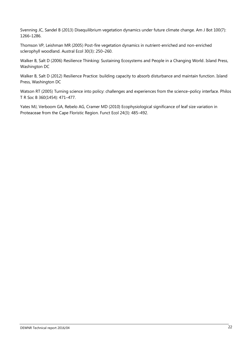Svenning JC, Sandel B (2013) Disequilibrium vegetation dynamics under future climate change. Am J Bot 100(7): 1266–1286.

Thomson VP, Leishman MR (2005) Post-fire vegetation dynamics in nutrient-enriched and non-enriched sclerophyll woodland. Austral Ecol 30(3): 250–260.

Walker B, Salt D (2006) Resilience Thinking: Sustaining Ecosystems and People in a Changing World. Island Press, Washington DC

Walker B, Salt D (2012) Resilience Practice: building capacity to absorb disturbance and maintain function. Island Press, Washington DC

Watson RT (2005) Turning science into policy: challenges and experiences from the science–policy interface. Philos T R Soc B 360(1454): 471–477.

Yates MJ, Verboom GA, Rebelo AG, Cramer MD (2010) Ecophysiological significance of leaf size variation in Proteaceae from the Cape Floristic Region. Funct Ecol 24(3): 485–492.